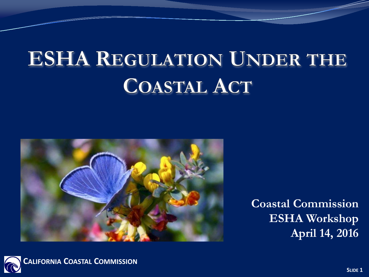# **ESHA REGULATION UNDER THE COASTAL ACT**



**Coastal Commission ESHA Workshop April 14, 2016**

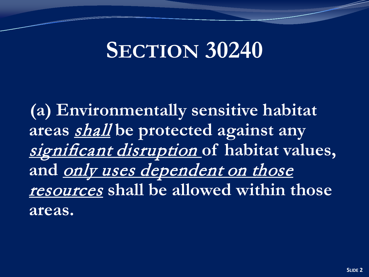## **SECTION 30240**

**(a) Environmentally sensitive habitat areas** shall **be protected against any**  significant disruption **of habitat values, and** only uses dependent on those resources **shall be allowed within those areas.**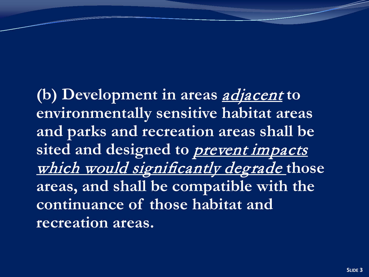**(b) Development in areas** adjacent **to environmentally sensitive habitat areas and parks and recreation areas shall be**  sited and designed to **prevent impacts** which would significantly degrade **those areas, and shall be compatible with the continuance of those habitat and recreation areas.**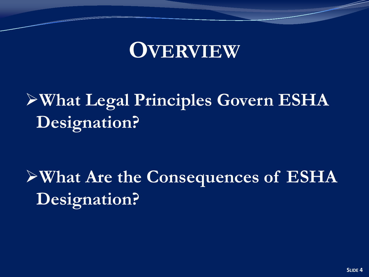### **OVERVIEW**

### **What Legal Principles Govern ESHA Designation?**

**What Are the Consequences of ESHA Designation?**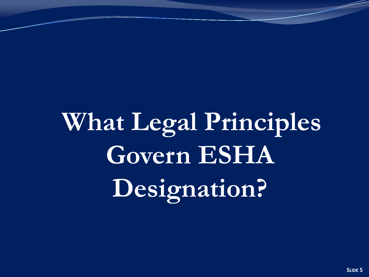**What Legal Principles Govern ESHA Designation?**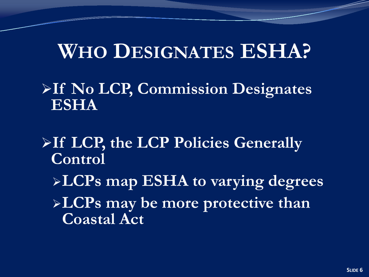### **WHO DESIGNATES ESHA?**

#### **If No LCP, Commission Designates ESHA**

### **If LCP, the LCP Policies Generally Control**

# **LCPs map ESHA to varying degrees**

**LCPs may be more protective than Coastal Act**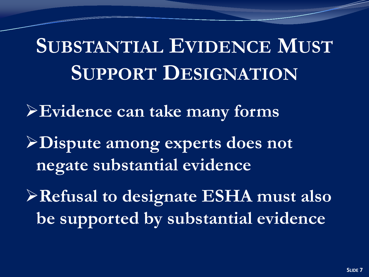# **SUBSTANTIAL EVIDENCE MUST SUPPORT DESIGNATION**

**Evidence can take many forms**

**Dispute among experts does not negate substantial evidence**

**Refusal to designate ESHA must also be supported by substantial evidence**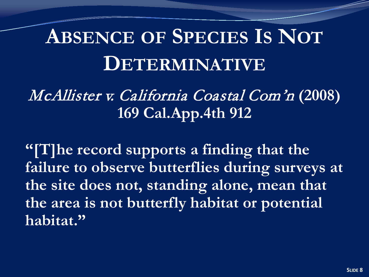## **ABSENCE OF SPECIES IS NOT DETERMINATIVE**

### McAllister v. California Coastal Com'n **(2008) 169 Cal.App.4th 912**

**"[T]he record supports a finding that the failure to observe butterflies during surveys at the site does not, standing alone, mean that the area is not butterfly habitat or potential habitat."**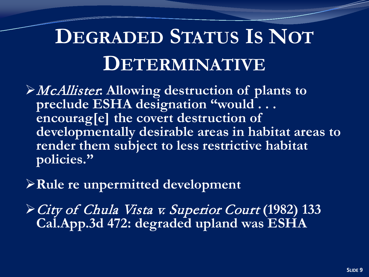# **DEGRADED STATUS IS NOT DETERMINATIVE**

- McAllister**: Allowing destruction of plants to preclude ESHA designation "would . . . encourag[e] the covert destruction of developmentally desirable areas in habitat areas to render them subject to less restrictive habitat policies."**
- **Rule re unpermitted development**
- City of Chula Vista v. Superior Court **(1982) 133 Cal.App.3d 472: degraded upland was ESHA**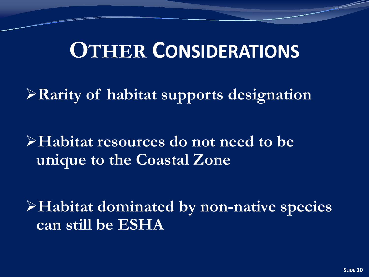### **OTHER CONSIDERATIONS**

**Rarity of habitat supports designation**

**Habitat resources do not need to be unique to the Coastal Zone**

**Habitat dominated by non-native species can still be ESHA**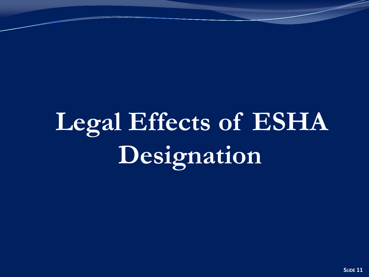# **Legal Effects of ESHA Designation**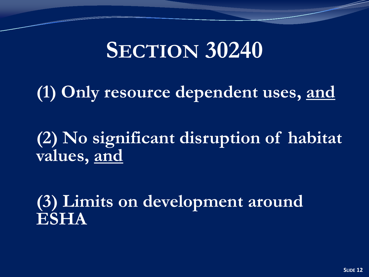## **SECTION 30240**

**(1) Only resource dependent uses, and**

**(2) No significant disruption of habitat values, and**

**(3) Limits on development around ESHA**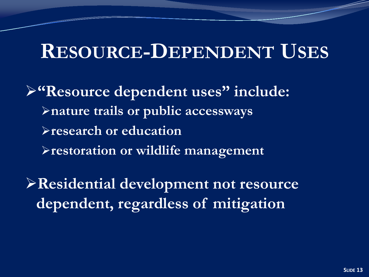### **RESOURCE-DEPENDENT USES**

**"Resource dependent uses" include: nature trails or public accessways research or education restoration or wildlife management**

**Residential development not resource dependent, regardless of mitigation**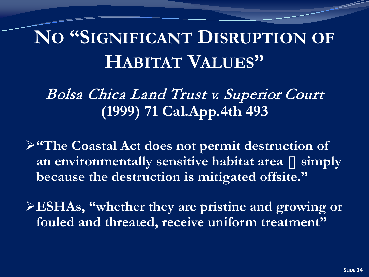## **NO "SIGNIFICANT DISRUPTION OF HABITAT VALUES"**

### Bolsa Chica Land Trust v. Superior Court **(1999) 71 Cal.App.4th 493**

**"The Coastal Act does not permit destruction of an environmentally sensitive habitat area [] simply because the destruction is mitigated offsite."** 

**ESHAs, "whether they are pristine and growing or fouled and threated, receive uniform treatment"**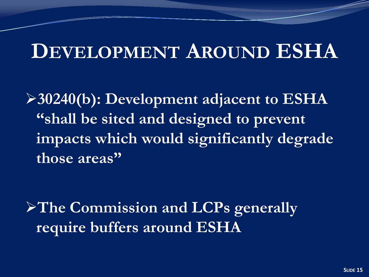### **DEVELOPMENT AROUND ESHA**

**30240(b): Development adjacent to ESHA "shall be sited and designed to prevent impacts which would significantly degrade those areas"**

**The Commission and LCPs generally require buffers around ESHA**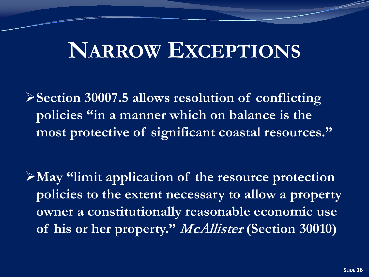### **NARROW EXCEPTIONS**

**Section 30007.5 allows resolution of conflicting policies "in a manner which on balance is the most protective of significant coastal resources."**

**May "limit application of the resource protection policies to the extent necessary to allow a property owner a constitutionally reasonable economic use of his or her property."** McAllister **(Section 30010)**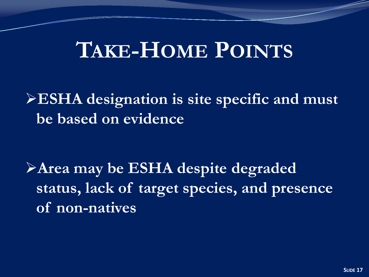### **TAKE-HOME POINTS**

**ESHA designation is site specific and must be based on evidence**

**Area may be ESHA despite degraded status, lack of target species, and presence of non-natives**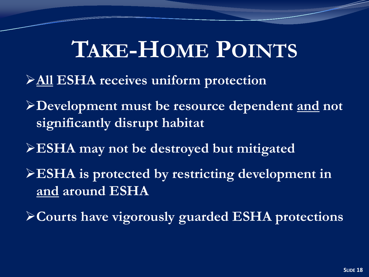## **TAKE-HOME POINTS**

- **All ESHA receives uniform protection**
- **Development must be resource dependent and not significantly disrupt habitat**
- **ESHA may not be destroyed but mitigated**
- **ESHA is protected by restricting development in and around ESHA**
- **Courts have vigorously guarded ESHA protections**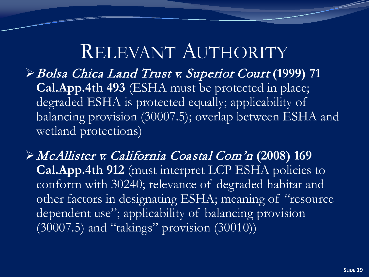### RELEVANT AUTHORITY

Bolsa Chica Land Trust v. Superior Court **(1999) 71 Cal.App.4th 493** (ESHA must be protected in place; degraded ESHA is protected equally; applicability of balancing provision (30007.5); overlap between ESHA and wetland protections)

McAllister v. California Coastal Com'n **(2008) 169 Cal.App.4th 912** (must interpret LCP ESHA policies to conform with 30240; relevance of degraded habitat and other factors in designating ESHA; meaning of "resource dependent use"; applicability of balancing provision  $(30007.5)$  and "takings" provision  $(30010)$ )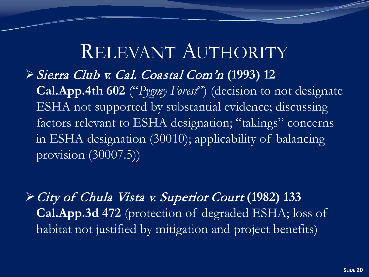### RELEVANT AUTHORITY

Sierra Club v. Cal. Coastal Com'n **(1993) 12** 

**Cal.App.4th 602** ("*Pygmy Forest*") (decision to not designate ESHA not supported by substantial evidence; discussing factors relevant to ESHA designation; "takings" concerns in ESHA designation (30010); applicability of balancing provision (30007.5))

City of Chula Vista v. Superior Court **(1982) 133 Cal.App.3d 472** (protection of degraded ESHA; loss of habitat not justified by mitigation and project benefits)